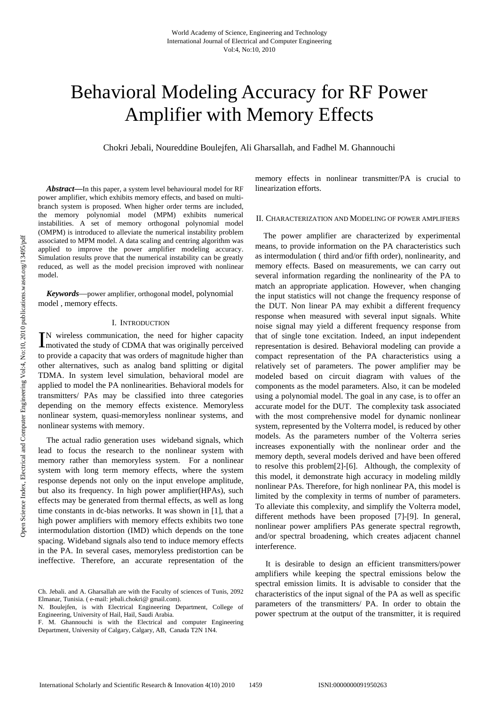# Behavioral Modeling Accuracy for RF Power Amplifier with Memory Effects

Chokri Jebali, Noureddine Boulejfen, Ali Gharsallah, and Fadhel M. Ghannouchi

*Abstract***—**In this paper, a system level behavioural model for RF power amplifier, which exhibits memory effects, and based on multibranch system is proposed. When higher order terms are included, the memory polynomial model (MPM) exhibits numerical instabilities. A set of memory orthogonal polynomial model (OMPM) is introduced to alleviate the numerical instability problem associated to MPM model. A data scaling and centring algorithm was applied to improve the power amplifier modeling accuracy. Simulation results prove that the numerical instability can be greatly reduced, as well as the model precision improved with nonlinear model.

*Keywords*—power amplifier, orthogonal model, polynomial model , memory effects.

#### I. INTRODUCTION

N wireless communication, the need for higher capacity IN wireless communication, the need for higher capacity<br>motivated the study of CDMA that was originally perceived to provide a capacity that was orders of magnitude higher than other alternatives, such as analog band splitting or digital TDMA. In system level simulation, behavioral model are applied to model the PA nonlinearities. Behavioral models for transmitters/ PAs may be classified into three categories depending on the memory effects existence. Memoryless nonlinear system, quasi-memoryless nonlinear systems, and nonlinear systems with memory.

The actual radio generation uses wideband signals, which lead to focus the research to the nonlinear system with memory rather than memoryless system. For a nonlinear system with long term memory effects, where the system response depends not only on the input envelope amplitude, but also its frequency. In high power amplifier(HPAs), such effects may be generated from thermal effects, as well as long time constants in dc-bias networks. It was shown in [1], that a high power amplifiers with memory effects exhibits two tone intermodulation distortion (IMD) which depends on the tone spacing. Wideband signals also tend to induce memory effects in the PA. In several cases, memoryless predistortion can be ineffective. Therefore, an accurate representation of the memory effects in nonlinear transmitter/PA is crucial to linearization efforts.

# II. CHARACTERIZATION AND MODELING OF POWER AMPLIFIERS

The power amplifier are characterized by experimental means, to provide information on the PA characteristics such as intermodulation ( third and/or fifth order), nonlinearity, and memory effects. Based on measurements, we can carry out several information regarding the nonlinearity of the PA to match an appropriate application. However, when changing the input statistics will not change the frequency response of the DUT. Non linear PA may exhibit a different frequency response when measured with several input signals. White noise signal may yield a different frequency response from that of single tone excitation. Indeed, an input independent representation is desired. Behavioral modeling can provide a compact representation of the PA characteristics using a relatively set of parameters. The power amplifier may be modeled based on circuit diagram with values of the components as the model parameters. Also, it can be modeled using a polynomial model. The goal in any case, is to offer an accurate model for the DUT. The complexity task associated with the most comprehensive model for dynamic nonlinear system, represented by the Volterra model, is reduced by other models. As the parameters number of the Volterra series increases exponentially with the nonlinear order and the memory depth, several models derived and have been offered to resolve this problem[2]-[6]. Although, the complexity of this model, it demonstrate high accuracy in modeling mildly nonlinear PAs. Therefore, for high nonlinear PA, this model is limited by the complexity in terms of number of parameters. To alleviate this complexity, and simplify the Volterra model, different methods have been proposed [7]-[9]. In general, nonlinear power amplifiers PAs generate spectral regrowth, and/or spectral broadening, which creates adjacent channel interference.

It is desirable to design an efficient transmitters/power amplifiers while keeping the spectral emissions below the spectral emission limits. It is advisable to consider that the characteristics of the input signal of the PA as well as specific parameters of the transmitters/ PA. In order to obtain the power spectrum at the output of the transmitter, it is required

Ch. Jebali. and A. Gharsallah are with the Faculty of sciences of Tunis, 2092 Elmanar, Tunisia. ( e-mail: jebali.chokri@ gmail.com).

N. Boulejfen, is with Electrical Engineering Department, College of Engineering, University of Hail, Hail, Saudi Arabia.

F. M. Ghannouchi is with the Electrical and computer Engineering Department, University of Calgary, Calgary, AB, Canada T2N 1N4.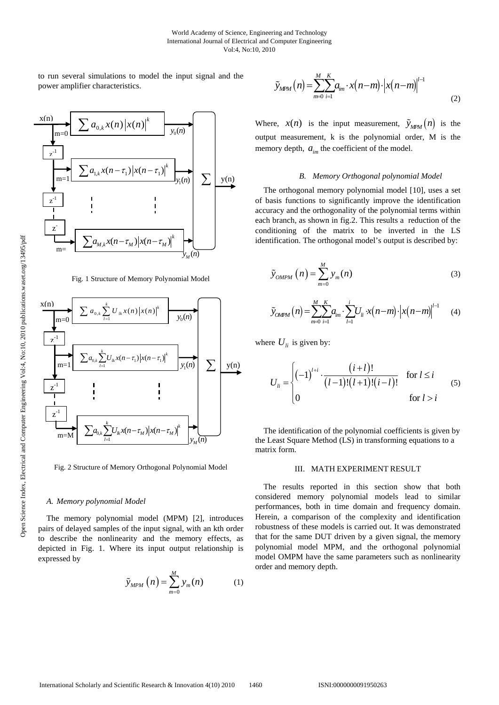to run several simulations to model the input signal and the power amplifier characteristics.



Fig. 1 Structure of Memory Polynomial Model



Fig. 2 Structure of Memory Orthogonal Polynomial Model

### *A. Memory polynomial Model*

The memory polynomial model (MPM) [2], introduces pairs of delayed samples of the input signal, with an kth order to describe the nonlinearity and the memory effects, as depicted in Fig. 1. Where its input output relationship is expressed by

$$
\tilde{y}_{MPM}\left(n\right) = \sum_{m=0}^{M} y_m(n) \tag{1}
$$

$$
\widetilde{y}_{MPM}(n) = \sum_{m=0}^{M} \sum_{i=1}^{K} a_{im} \cdot x(n-m) \cdot |x(n-m)|^{l-1}
$$
\n(2)

Where,  $x(n)$  is the input measurement,  $\tilde{y}_{MPM}(n)$  is the output measurement, k is the polynomial order, M is the memory depth,  $a_{im}$  the coefficient of the model.

#### *B. Memory Orthogonal polynomial Model*

The orthogonal memory polynomial model [10], uses a set of basis functions to significantly improve the identification accuracy and the orthogonality of the polynomial terms within each branch, as shown in fig.2. This results a reduction of the conditioning of the matrix to be inverted in the LS identification. The orthogonal model's output is described by:

$$
\tilde{y}_{OMPM}\left(n\right) = \sum_{m=0}^{M} y_m(n) \tag{3}
$$

$$
\tilde{y}_{OMPM}(n) = \sum_{m=0}^{M} \sum_{i=1}^{K} a_{im} \cdot \sum_{l=1}^{i} U_{li} \cdot x(n-m) \cdot \left| x(n-m) \right|^{l-1}
$$
 (4)

where  $U_{li}$  is given by:

$$
U_{li} = \begin{cases} (-1)^{l+i} \cdot \frac{(i+l)!}{(l-1)!(l+1)!(i-l)!} & \text{for } l \le i \\ 0 & \text{for } l > i \end{cases}
$$
 (5)

The identification of the polynomial coefficients is given by the Least Square Method (LS) in transforming equations to a matrix form.

## III. MATH EXPERIMENT RESULT

The results reported in this section show that both considered memory polynomial models lead to similar performances, both in time domain and frequency domain. Herein, a comparison of the complexity and identification robustness of these models is carried out. It was demonstrated that for the same DUT driven by a given signal, the memory polynomial model MPM, and the orthogonal polynomial model OMPM have the same parameters such as nonlinearity order and memory depth.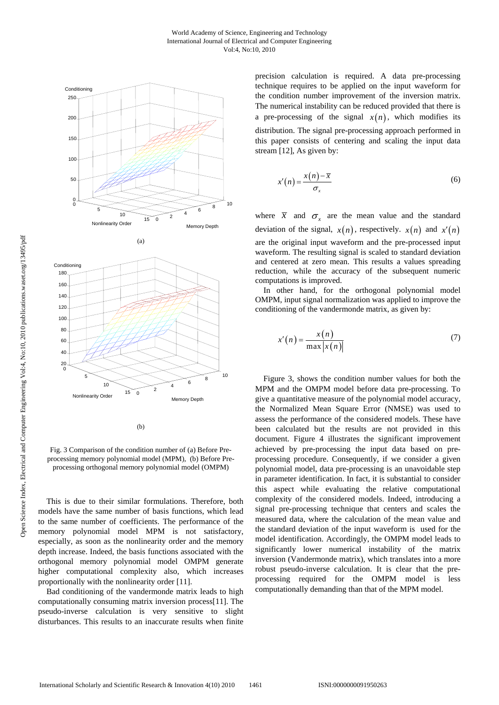



(b)

Fig. 3 Comparison of the condition number of (a) Before Preprocessing memory polynomial model (MPM), (b) Before Preprocessing orthogonal memory polynomial model (OMPM)

This is due to their similar formulations. Therefore, both models have the same number of basis functions, which lead to the same number of coefficients. The performance of the memory polynomial model MPM is not satisfactory, especially, as soon as the nonlinearity order and the memory depth increase. Indeed, the basis functions associated with the orthogonal memory polynomial model OMPM generate higher computational complexity also, which increases proportionally with the nonlinearity order [11].

Bad conditioning of the vandermonde matrix leads to high computationally consuming matrix inversion process[11]. The pseudo-inverse calculation is very sensitive to slight disturbances. This results to an inaccurate results when finite precision calculation is required. A data pre-processing technique requires to be applied on the input waveform for the condition number improvement of the inversion matrix. The numerical instability can be reduced provided that there is a pre-processing of the signal  $x(n)$ , which modifies its distribution. The signal pre-processing approach performed in this paper consists of centering and scaling the input data stream [12], As given by:

$$
x'(n) = \frac{x(n) - \overline{x}}{\sigma_x} \tag{6}
$$

where  $\bar{x}$  and  $\sigma_{r}$  are the mean value and the standard deviation of the signal,  $x(n)$ , respectively.  $x(n)$  and  $x'(n)$ are the original input waveform and the pre-processed input waveform. The resulting signal is scaled to standard deviation and centered at zero mean. This results a values spreading reduction, while the accuracy of the subsequent numeric computations is improved.

In other hand, for the orthogonal polynomial model OMPM, input signal normalization was applied to improve the conditioning of the vandermonde matrix, as given by:

$$
x'(n) = \frac{x(n)}{\max |x(n)|}
$$
 (7)

Figure 3, shows the condition number values for both the MPM and the OMPM model before data pre-processing. To give a quantitative measure of the polynomial model accuracy, the Normalized Mean Square Error (NMSE) was used to assess the performance of the considered models. These have been calculated but the results are not provided in this document. Figure 4 illustrates the significant improvement achieved by pre-processing the input data based on preprocessing procedure. Consequently, if we consider a given polynomial model, data pre-processing is an unavoidable step in parameter identification. In fact, it is substantial to consider this aspect while evaluating the relative computational complexity of the considered models. Indeed, introducing a signal pre-processing technique that centers and scales the measured data, where the calculation of the mean value and the standard deviation of the input waveform is used for the model identification. Accordingly, the OMPM model leads to significantly lower numerical instability of the matrix inversion (Vandermonde matrix), which translates into a more robust pseudo-inverse calculation. It is clear that the preprocessing required for the OMPM model is less computationally demanding than that of the MPM model.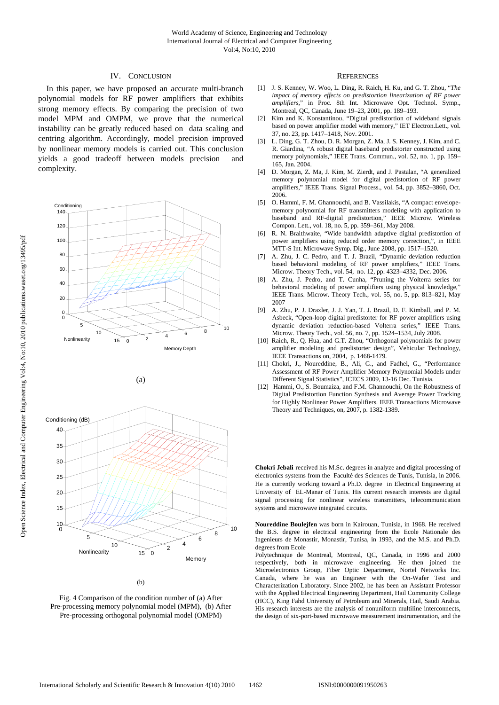# IV. CONCLUSION

In this paper, we have proposed an accurate multi-branch polynomial models for RF power amplifiers that exhibits strong memory effects. By comparing the precision of two model MPM and OMPM, we prove that the numerical instability can be greatly reduced based on data scaling and centring algorithm. Accordingly, model precision improved by nonlinear memory models is carried out. This conclusion yields a good tradeoff between models precision and complexity.







Fig. 4 Comparison of the condition number of (a) After Pre-processing memory polynomial model (MPM), (b) After Pre-processing orthogonal polynomial model (OMPM)

#### **REFERENCES**

- [1] J. S. Kenney, W. Woo, L. Ding, R. Raich, H. Ku, and G. T. Zhou, "*The impact of memory effects on predistortion linearization of RF power amplifiers*," in Proc. 8th Int. Microwave Opt. Technol. Symp., Montreal, QC, Canada, June 19–23, 2001, pp. 189–193.
- [2] Kim and K. Konstantinou, "Digital predistortion of wideband signals based on power amplifier model with memory," IET Electron.Lett., vol. 37, no. 23, pp. 1417–1418, Nov. 2001.
- [3] L. Ding, G. T. Zhou, D. R. Morgan, Z. Ma, J. S. Kenney, J. Kim, and C. R. Giardina, "A robust digital baseband predistorter constructed using memory polynomials," IEEE Trans. Commun., vol. 52, no. 1, pp. 159– 165, Jan. 2004.
- [4] D. Morgan, Z. Ma, J. Kim, M. Zierdt, and J. Pastalan, "A generalized memory polynomial model for digital predistortion of RF power amplifiers," IEEE Trans. Signal Process., vol. 54, pp. 3852–3860, Oct. 2006.
- [5] O. Hammi, F. M. Ghannouchi, and B. Vassilakis, "A compact envelopememory polynomial for RF transmitters modeling with application to baseband and RF-digital predistortion," IEEE Microw. Wireless Compon. Lett., vol. 18, no. 5, pp. 359–361, May 2008.
- [6] R. N. Braithwaite, "Wide bandwidth adaptive digital predistortion of power amplifiers using reduced order memory correction,", in IEEE MTT-S Int. Microwave Symp. Dig., June 2008, pp. 1517–1520.
- [7] A. Zhu, J. C. Pedro, and T. J. Brazil, "Dynamic deviation reduction based behavioral modeling of RF power amplifiers," IEEE Trans. Microw. Theory Tech., vol. 54, no. 12, pp. 4323–4332, Dec. 2006.
- [8] A. Zhu, J. Pedro, and T. Cunha, "Pruning the Volterra series for behavioral modeling of power amplifiers using physical knowledge,' IEEE Trans. Microw. Theory Tech., vol. 55, no. 5, pp. 813–821, May 2007
- [9] A. Zhu, P. J. Draxler, J. J. Yan, T. J. Brazil, D. F. Kimball, and P. M. Asbeck, "Open-loop digital predistorter for RF power amplifiers using dynamic deviation reduction-based Volterra series," IEEE Trans. Microw. Theory Tech., vol. 56, no. 7, pp. 1524–1534, July 2008.
- [10] Raich, R., Q. Hua, and G.T. Zhou, "Orthogonal polynomials for power amplifier modeling and predistorter design", Vehicular Technology, IEEE Transactions on, 2004, p. 1468-1479.
- [11] Chokri, J., Noureddine, B., Ali, G., and Fadhel, G., "Performance Assessment of RF Power Amplifier Memory Polynomial Models under Different Signal Statistics", ICECS 2009, 13-16 Dec. Tunisia.
- [12] Hammi, O., S. Boumaiza, and F.M. Ghannouchi, On the Robustness of Digital Predistortion Function Synthesis and Average Power Tracking for Highly Nonlinear Power Amplifiers. IEEE Transactions Microwave Theory and Techniques, on, 2007, p. 1382-1389.

**Chokri Jebali** received his M.Sc. degrees in analyze and digital processing of electronics systems from the Faculté des Sciences de Tunis, Tunisia, in 2006. He is currently working toward a Ph.D. degree in Electrical Engineering at University of EL-Manar of Tunis. His current research interests are digital signal processing for nonlinear wireless transmitters, telecommunication systems and microwave integrated circuits.

**Noureddine Boulejfen** was born in Kairouan, Tunisia, in 1968. He received the B.S. degree in electrical engineering from the Ecole Nationale des Ingenieurs de Monastir, Monastir, Tunisa, in 1993, and the M.S. and Ph.D. degrees from Ecole

Polytechnique de Montreal, Montreal, QC, Canada, in 1996 and 2000 respectively, both in microwave engineering. He then joined the Microelectronics Group, Fiber Optic Department, Nortel Networks Inc. Canada, where he was an Engineer with the On-Wafer Test and Characterization Laboratory. Since 2002, he has been an Assistant Professor with the Applied Electrical Engineering Department, Hail Community College (HCC), King Fahd University of Petroleum and Minerals, Hail, Saudi Arabia. His research interests are the analysis of nonuniform multiline interconnects, the design of six-port-based microwave measurement instrumentation, and the